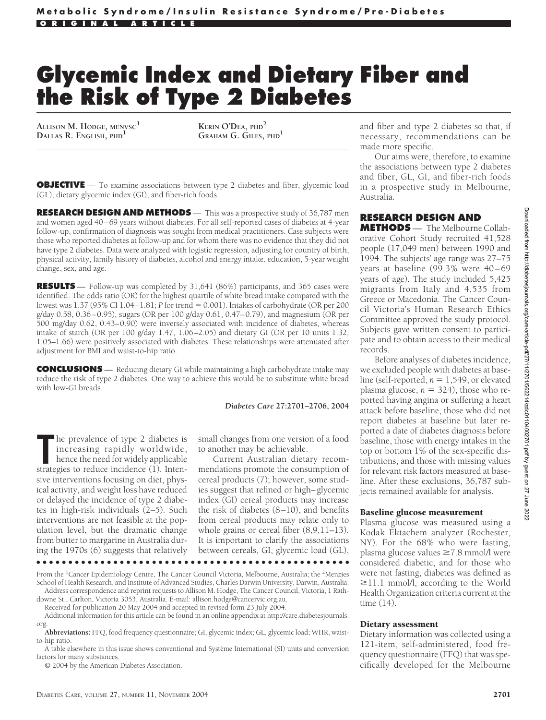# **Glycemic Index and Dietary Fiber and the Risk of Type 2 Diabetes**

**ALLISON M. HODGE, MENVSC<sup>1</sup> DALLAS R. ENGLISH, PHD<sup>1</sup> KERIN O'DEA, PHD<sup>2</sup>**

**GRAHAM G. GILES, PHD<sup>1</sup>**

**OBJECTIVE** — To examine associations between type 2 diabetes and fiber, glycemic load (GL), dietary glycemic index (GI), and fiber-rich foods.

**RESEARCH DESIGN AND METHODS** — This was a prospective study of 36,787 men and women aged 40–69 years without diabetes. For all self-reported cases of diabetes at 4-year follow-up, confirmation of diagnosis was sought from medical practitioners. Case subjects were those who reported diabetes at follow-up and for whom there was no evidence that they did not have type 2 diabetes. Data were analyzed with logistic regression, adjusting for country of birth, physical activity, family history of diabetes, alcohol and energy intake, education, 5-year weight change, sex, and age.

**RESULTS** — Follow-up was completed by 31,641 (86%) participants, and 365 cases were identified. The odds ratio (OR) for the highest quartile of white bread intake compared with the lowest was 1.37 (95% CI 1.04–1.81; *P* for trend = 0.001). Intakes of carbohydrate (OR per 200 g/day 0.58, 0.36–0.95), sugars (OR per 100 g/day 0.61, 0.47–0.79), and magnesium (OR per 500 mg/day 0.62, 0.43–0.90) were inversely associated with incidence of diabetes, whereas intake of starch (OR per 100 g/day 1.47, 1.06–2.05) and dietary GI (OR per 10 units 1.32, 1.05–1.66) were positively associated with diabetes. These relationships were attenuated after adjustment for BMI and waist-to-hip ratio.

**CONCLUSIONS** — Reducing dietary GI while maintaining a high carbohydrate intake may reduce the risk of type 2 diabetes. One way to achieve this would be to substitute white bread with low-GI breads.

#### *Diabetes Care* **27:2701–2706, 2004**

The prevalence of type 2 diabetes is<br>
increasing rapidly worldwide,<br>
hence the need for widely applicable<br>
strategies to reduce incidence (1). Intenhe prevalence of type 2 diabetes is increasing rapidly worldwide, hence the need for widely applicable sive interventions focusing on diet, physical activity, and weight loss have reduced or delayed the incidence of type 2 diabetes in high-risk individuals (2–5). Such interventions are not feasible at the population level, but the dramatic change from butter to margarine in Australia during the 1970s (6) suggests that relatively

small changes from one version of a food to another may be achievable.

Current Australian dietary recommendations promote the consumption of cereal products (7); however, some studies suggest that refined or high–glycemic index (GI) cereal products may increase the risk of diabetes (8–10), and benefits from cereal products may relate only to whole grains or cereal fiber (8,9,11–13). It is important to clarify the associations between cereals, GI, glycemic load (GL),

●●●●●●●●●●●●●●●●●●●●●●●●●●●●●●●●●●●●●●●●●●●●●●●●●

From the <sup>1</sup>Cancer Epidemiology Centre, The Cancer Council Victoria, Melbourne, Australia; the <sup>2</sup>Menzies School of Health Research, and Institute of Advanced Studies, Charles Darwin University, Darwin, Australia. Address correspondence and reprint requests to Allison M. Hodge, The Cancer Council, Victoria, 1 Rath-

downe St., Carlton, Victoria 3053, Australia. E-mail: allison.hodge@cancervic.org.au.

Received for publication 20 May 2004 and accepted in revised form 23 July 2004.

Additional information for this article can be found in an online appendix at http://care.diabetesjournals. org.

**Abbreviations:** FFQ, food frequency questionnaire; GI, glycemic index; GL, glycemic load; WHR, waistto-hip ratio.

A table elsewhere in this issue shows conventional and Système International (SI) units and conversion factors for many substances.

© 2004 by the American Diabetes Association.

and fiber and type 2 diabetes so that, if necessary, recommendations can be made more specific.

Our aims were, therefore, to examine the associations between type 2 diabetes and fiber, GL, GI, and fiber-rich foods in a prospective study in Melbourne, Australia.

## **RESEARCH DESIGN AND**

**METHODS** — The Melbourne Collaborative Cohort Study recruited 41,528 people (17,049 men) between 1990 and 1994. The subjects' age range was 27–75 years at baseline (99.3% were 40–69 years of age). The study included 5,425 migrants from Italy and 4,535 from Greece or Macedonia. The Cancer Council Victoria's Human Research Ethics Committee approved the study protocol. Subjects gave written consent to participate and to obtain access to their medical records.

Before analyses of diabetes incidence, we excluded people with diabetes at baseline (self-reported,  $n = 1,549$ , or elevated plasma glucose,  $n = 324$ ), those who reported having angina or suffering a heart attack before baseline, those who did not report diabetes at baseline but later reported a date of diabetes diagnosis before baseline, those with energy intakes in the top or bottom 1% of the sex-specific distributions, and those with missing values for relevant risk factors measured at baseline. After these exclusions, 36,787 subjects remained available for analysis.

#### Baseline glucose measurement

Plasma glucose was measured using a Kodak Ektachem analyzer (Rochester, NY). For the 68% who were fasting, plasma glucose values ≥7.8 mmol/l were considered diabetic, and for those who were not fasting, diabetes was defined as  $\geq$ 11.1 mmol/l, according to the World Health Organization criteria current at the time (14).

#### Dietary assessment

Dietary information was collected using a 121-item, self-administered, food frequency questionnaire (FFQ) that was specifically developed for the Melbourne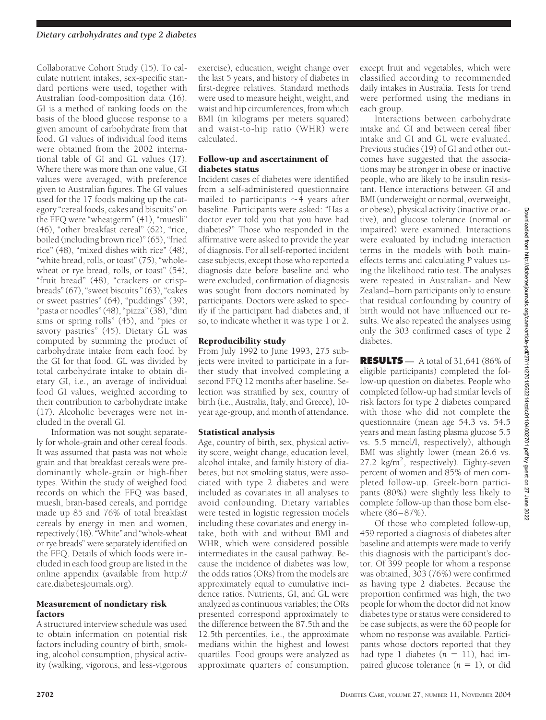Collaborative Cohort Study (15). To calculate nutrient intakes, sex-specific standard portions were used, together with Australian food-composition data (16). GI is a method of ranking foods on the basis of the blood glucose response to a given amount of carbohydrate from that food. GI values of individual food items were obtained from the 2002 international table of GI and GL values (17). Where there was more than one value, GI values were averaged, with preference given to Australian figures. The GI values used for the 17 foods making up the category "cereal foods, cakes and biscuits" on the FFQ were "wheatgerm" (41), "muesli" (46), "other breakfast cereal" (62), "rice, boiled (including brown rice)" (65), "fried rice" (48), "mixed dishes with rice" (48), "white bread, rolls, or toast" (75), "wholewheat or rye bread, rolls, or toast" (54), "fruit bread" (48), "crackers or crispbreads" (67), "sweet biscuits " (63), "cakes or sweet pastries" (64), "puddings" (39), "pasta or noodles" (48), "pizza" (38), "dim sims or spring rolls"  $(45)$ , and "pies or savory pastries" (45). Dietary GL was computed by summing the product of carbohydrate intake from each food by the GI for that food. GL was divided by total carbohydrate intake to obtain dietary GI, i.e., an average of individual food GI values, weighted according to their contribution to carbohydrate intake (17). Alcoholic beverages were not included in the overall GI.

Information was not sought separately for whole-grain and other cereal foods. It was assumed that pasta was not whole grain and that breakfast cereals were predominantly whole-grain or high-fiber types. Within the study of weighed food records on which the FFQ was based, muesli, bran-based cereals, and porridge made up 85 and 76% of total breakfast cereals by energy in men and women, repectively (18). "White" and "whole-wheat or rye breads" were separately identified on the FFQ. Details of which foods were included in each food group are listed in the online appendix (available from http:// care.diabetesjournals.org).

## Measurement of nondietary risk factors

A structured interview schedule was used to obtain information on potential risk factors including country of birth, smoking, alcohol consumption, physical activity (walking, vigorous, and less-vigorous

exercise), education, weight change over the last 5 years, and history of diabetes in first-degree relatives. Standard methods were used to measure height, weight, and waist and hip circumferences, from which BMI (in kilograms per meters squared) and waist-to-hip ratio (WHR) were calculated.

## Follow-up and ascertainment of diabetes status

Incident cases of diabetes were identified from a self-administered questionnaire mailed to participants  $\sim$ 4 years after baseline. Participants were asked: "Has a doctor ever told you that you have had diabetes?" Those who responded in the affirmative were asked to provide the year of diagnosis. For all self-reported incident case subjects, except those who reported a diagnosis date before baseline and who were excluded, confirmation of diagnosis was sought from doctors nominated by participants. Doctors were asked to specify if the participant had diabetes and, if so, to indicate whether it was type 1 or 2.

## Reproducibility study

From July 1992 to June 1993, 275 subjects were invited to participate in a further study that involved completing a second FFQ 12 months after baseline. Selection was stratified by sex, country of birth (i.e., Australia, Italy, and Greece), 10 year age-group, and month of attendance.

# Statistical analysis

Age, country of birth, sex, physical activity score, weight change, education level, alcohol intake, and family history of diabetes, but not smoking status, were associated with type 2 diabetes and were included as covariates in all analyses to avoid confounding. Dietary variables were tested in logistic regression models including these covariates and energy intake, both with and without BMI and WHR, which were considered possible intermediates in the causal pathway. Because the incidence of diabetes was low, the odds ratios (ORs) from the models are approximately equal to cumulative incidence ratios. Nutrients, GI, and GL were analyzed as continuous variables; the ORs presented correspond approximately to the difference between the 87.5th and the 12.5th percentiles, i.e., the approximate medians within the highest and lowest quartiles. Food groups were analyzed as approximate quarters of consumption,

except fruit and vegetables, which were classified according to recommended daily intakes in Australia. Tests for trend were performed using the medians in each group.

Interactions between carbohydrate intake and GI and between cereal fiber intake and GI and GL were evaluated. Previous studies (19) of GI and other outcomes have suggested that the associations may be stronger in obese or inactive people, who are likely to be insulin resistant. Hence interactions between GI and BMI (underweight or normal, overweight, or obese), physical activity (inactive or active), and glucose tolerance (normal or impaired) were examined. Interactions were evaluated by including interaction terms in the models with both maineffects terms and calculating *P* values using the likelihood ratio test. The analyses were repeated in Australian- and New Zealand–born participants only to ensure that residual confounding by country of birth would not have influenced our results. We also repeated the analyses using only the 303 confirmed cases of type 2 diabetes.

Downloaded from http://diabetesjournals.org/care/article-pdf/27/11/2701/562214/zdc01104002701.pdf by guest on 27 June 2022 Downloaded from http://diabetesjournals.org/care/article-pdf/27/11/2701/562214/zdc01104002701.pdf by guest on 27 June 2022**RESULTS** — A total of 31,641 (86% of eligible participants) completed the follow-up question on diabetes. People who completed follow-up had similar levels of risk factors for type 2 diabetes compared with those who did not complete the questionnaire (mean age 54.3 vs. 54.5 years and mean fasting plasma glucose 5.5 vs. 5.5 mmol/l, respectively), although BMI was slightly lower (mean 26.6 vs. 27.2 kg/m<sup>2</sup>, respectively). Eighty-seven percent of women and 85% of men completed follow-up. Greek-born participants (80%) were slightly less likely to complete follow-up than those born else-Of those who completed follow-up,

**2702** DIABETES CARE, VOLUME 27, NUMBER 11, NOVEMBER 2004

459 reported a diagnosis of diabetes after baseline and attempts were made to verify this diagnosis with the participant's doctor. Of 399 people for whom a response was obtained, 303 (76%) were confirmed as having type 2 diabetes. Because the proportion confirmed was high, the two people for whom the doctor did not know diabetes type or status were considered to be case subjects, as were the 60 people for whom no response was available. Participants whose doctors reported that they had type 1 diabetes  $(n = 11)$ , had impaired glucose tolerance  $(n = 1)$ , or did

where (86–87%).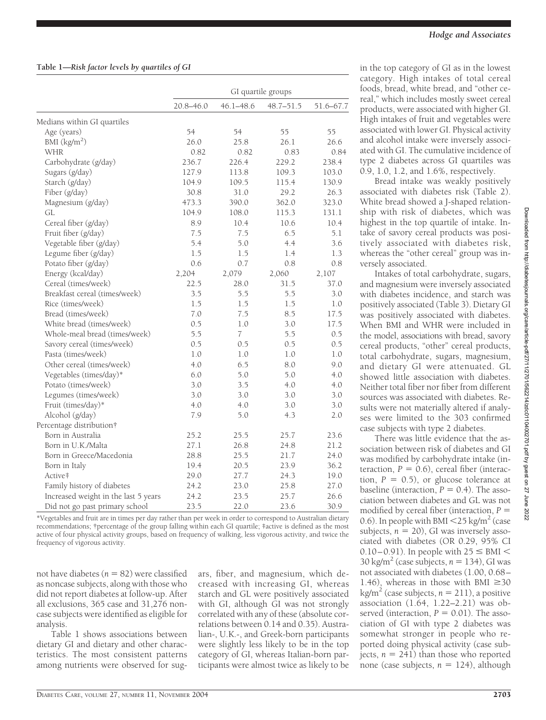|                                      |           |                | GI quartile groups |           |
|--------------------------------------|-----------|----------------|--------------------|-----------|
|                                      | 20.8-46.0 | 46.1-48.6      | $48.7 - 51.5$      | 51.6-67.7 |
| Medians within GI quartiles          |           |                |                    |           |
| Age (years)                          | 54        | 54             | 55                 | 55        |
| BMI $(kg/m2)$                        | 26.0      | 25.8           | 26.1               | 26.6      |
| <b>WHR</b>                           | 0.82      | 0.82           | 0.83               | 0.84      |
| Carbohydrate (g/day)                 | 236.7     | 226.4          | 229.2              | 238.4     |
| Sugars (g/day)                       | 127.9     | 113.8          | 109.3              | 103.0     |
| Starch (g/day)                       | 104.9     | 109.5          | 115.4              | 130.9     |
| Fiber (g/day)                        | 30.8      | 31.0           | 29.2               | 26.3      |
| Magnesium (g/day)                    | 473.3     | 390.0          | 362.0              | 323.0     |
| GL                                   | 104.9     | 108.0          | 115.3              | 131.1     |
| Cereal fiber (g/day)                 | 8.9       | 10.4           | 10.6               | 10.4      |
| Fruit fiber (g/day)                  | 7.5       | 7.5            | 6.5                | 5.1       |
| Vegetable fiber (g/day)              | 5.4       | 5.0            | 4.4                | 3.6       |
| Legume fiber (g/day)                 | 1.5       | 1.5            | 1.4                | 1.3       |
| Potato fiber (g/day)                 | 0.6       | 0.7            | 0.8                | 0.8       |
| Energy (kcal/day)                    | 2,204     | 2,079          | 2,060              | 2,107     |
| Cereal (times/week)                  | 22.5      | 28.0           | 31.5               | 37.0      |
| Breakfast cereal (times/week)        | 3.5       | 5.5            | 5.5                | 3.0       |
| Rice (times/week)                    | $1.5\,$   | 1.5            | 1.5                | 1.0       |
| Bread (times/week)                   | 7.0       | 7.5            | 8.5                | 17.5      |
| White bread (times/week)             | 0.5       | 1.0            | 3.0                | 17.5      |
| Whole-meal bread (times/week)        | 5.5       | $\overline{7}$ | 5.5                | 0.5       |
| Savory cereal (times/week)           | 0.5       | 0.5            | 0.5                | 0.5       |
| Pasta (times/week)                   | 1.0       | 1.0            | 1.0                | 1.0       |
| Other cereal (times/week)            | 4.0       | 6.5            | 8.0                | 9.0       |
| Vegetables (times/day)*              | 6.0       | 5.0            | 5.0                | 4.0       |
| Potato (times/week)                  | 3.0       | 3.5            | 4.0                | 4.0       |
| Legumes (times/week)                 | 3.0       | 3.0            | 3.0                | 3.0       |
| Fruit (times/day)*                   | 4.0       | 4.0            | 3.0                | 3.0       |
| Alcohol (g/day)                      | 7.9       | 5.0            | 4.3                | 2.0       |
| Percentage distribution†             |           |                |                    |           |
| Born in Australia                    | 25.2      | 25.5           | 25.7               | 23.6      |
| Born in U.K./Malta                   | 27.1      | 26.8           | 24.8               | 21.2      |
| Born in Greece/Macedonia             | 28.8      | 25.5           | 21.7               | 24.0      |
| Born in Italy                        | 19.4      | 20.5           | 23.9               | 36.2      |
| Active‡                              | 29.0      | 27.7           | 24.3               | 19.0      |
| Family history of diabetes           | 24.2      | 23.0           | 25.8               | 27.0      |
| Increased weight in the last 5 years | 24.2      | 23.5           | 25.7               | 26.6      |
| Did not go past primary school       | 23.5      | 22.0           | 23.6               | 30.9      |

\*Vegetables and fruit are in times per day rather than per week in order to correspond to Australian dietary recommendations; †percentage of the group falling within each GI quartile; ‡active is defined as the most active of four physical activity groups, based on frequency of walking, less vigorous activity, and twice the frequency of vigorous activity.

not have diabetes  $(n = 82)$  were classified as noncase subjects, along with those who did not report diabetes at follow-up. After all exclusions, 365 case and 31,276 noncase subjects were identified as eligible for analysis.

Table 1 shows associations between dietary GI and dietary and other characteristics. The most consistent patterns among nutrients were observed for sugars, fiber, and magnesium, which decreased with increasing GI, whereas starch and GL were positively associated with GI, although GI was not strongly correlated with any of these (absolute correlations between 0.14 and 0.35). Australian-, U.K.-, and Greek-born participants were slightly less likely to be in the top category of GI, whereas Italian-born participants were almost twice as likely to be

in the top category of GI as in the lowest category. High intakes of total cereal foods, bread, white bread, and "other cereal," which includes mostly sweet cereal products, were associated with higher GI. High intakes of fruit and vegetables were associated with lower GI. Physical activity and alcohol intake were inversely associated with GI. The cumulative incidence of type 2 diabetes across GI quartiles was 0.9, 1.0, 1.2, and 1.6%, respectively.

Bread intake was weakly positively associated with diabetes risk (Table 2). White bread showed a J-shaped relationship with risk of diabetes, which was highest in the top quartile of intake. Intake of savory cereal products was positively associated with diabetes risk, whereas the "other cereal" group was inversely associated.

Intakes of total carbohydrate, sugars, and magnesium were inversely associated with diabetes incidence, and starch was positively associated (Table 3). Dietary GI was positively associated with diabetes. When BMI and WHR were included in the model, associations with bread, savory cereal products, "other" cereal products, total carbohydrate, sugars, magnesium, and dietary GI were attenuated. GL showed little association with diabetes. Neither total fiber nor fiber from different sources was associated with diabetes. Results were not materially altered if analyses were limited to the 303 confirmed case subjects with type 2 diabetes.

There was little evidence that the association between risk of diabetes and GI was modified by carbohydrate intake (interaction,  $P = 0.6$ ), cereal fiber (interaction,  $P = 0.5$ ), or glucose tolerance at baseline (interaction,  $P = 0.4$ ). The association between diabetes and GL was not modified by cereal fiber (interaction, *P* 0.6). In people with BMI  $\leq$  25 kg/m<sup>2</sup> (case subjects,  $n = 20$ ), GI was inversely associated with diabetes (OR 0.29, 95% CI 0.10–0.91). In people with  $25 \leq \text{BMI} < 100$ 30 kg/m<sup>2</sup> (case subjects,  $n = 134$ ), GI was not associated with diabetes (1.00, 0.68– 1.46), whereas in those with BMI  $\geq 30$  $kg/m<sup>2</sup>$  (case subjects,  $n = 211$ ), a positive association (1.64, 1.22–2.21) was observed (interaction,  $P = 0.01$ ). The association of GI with type 2 diabetes was somewhat stronger in people who reported doing physical activity (case subjects,  $n = 241$ ) than those who reported none (case subjects,  $n = 124$ ), although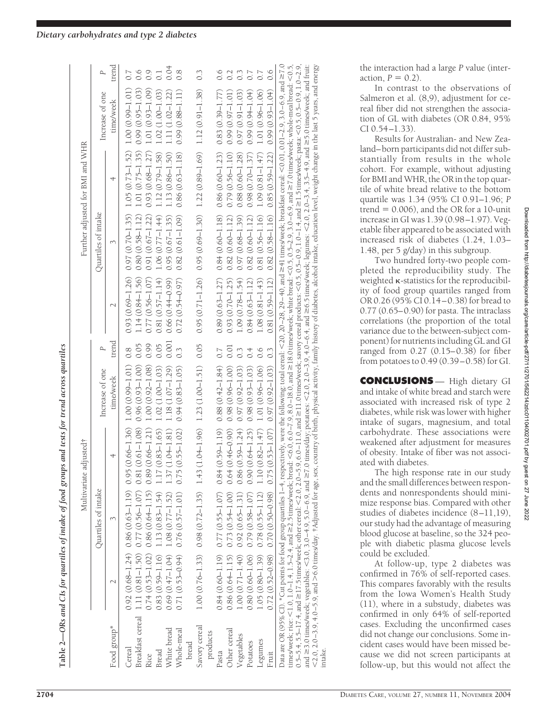**Table 2—**

 $\overline{O}$ Rs and  $\overline{C}$ Is for quartiles of intake of food groups and tests for trend across quartiles

(able 2—ORs and CIs for quartiles of intake of food groups and tests for trend across quartiles

|  | Dietary carbohydrates and type 2 diabetes |  |  |
|--|-------------------------------------------|--|--|

|               |                     | Multivariate                                                                                                                                                                                                                                                                                                                                                                                                                                                                                                                                                                                                                                                                                                                                                                                                                                                                                                    | adjusted†                         |                     |       |                     |                                                                         | Further adjusted for BMI and WHR |                     |                  |
|---------------|---------------------|-----------------------------------------------------------------------------------------------------------------------------------------------------------------------------------------------------------------------------------------------------------------------------------------------------------------------------------------------------------------------------------------------------------------------------------------------------------------------------------------------------------------------------------------------------------------------------------------------------------------------------------------------------------------------------------------------------------------------------------------------------------------------------------------------------------------------------------------------------------------------------------------------------------------|-----------------------------------|---------------------|-------|---------------------|-------------------------------------------------------------------------|----------------------------------|---------------------|------------------|
|               |                     | Quartiles of intake                                                                                                                                                                                                                                                                                                                                                                                                                                                                                                                                                                                                                                                                                                                                                                                                                                                                                             |                                   | Increase of one     |       |                     | Quartiles of intake                                                     |                                  | Increase of one     | Р                |
| Food group*   |                     |                                                                                                                                                                                                                                                                                                                                                                                                                                                                                                                                                                                                                                                                                                                                                                                                                                                                                                                 | 4                                 | time/week           | trend |                     | 3                                                                       | 4                                | time/week           | trend            |
| Cereal        |                     | $0.92(0.68 - 1.24) 0.86(0.63 - 1.19) 0.95(0.66 - 1.36)$                                                                                                                                                                                                                                                                                                                                                                                                                                                                                                                                                                                                                                                                                                                                                                                                                                                         |                                   | $1.00(0.99 - 1.01)$ | 0.8   |                     | $0.93(0.69-1.26)$ $0.97(0.70-1.35)$                                     | $1.05(0.73 - 1.52)$              | 1.00 (0.99-1.01)    |                  |
|               |                     | Breakfast cereal 1.11 (0.81-1.50) 0.77 (0.56-1.07) 0.81 (0.61-1.08)                                                                                                                                                                                                                                                                                                                                                                                                                                                                                                                                                                                                                                                                                                                                                                                                                                             |                                   | $0.96(0.93 - 1.00)$ |       | $1.14(0.84 - 1.56)$ | $0.80(0.58 - 1.12)$                                                     | $1.01(0.75 - 1.35)$              | $0.99(0.95 - 1.03)$ |                  |
| Rice          | $0.74(0.53 - 1.02)$ |                                                                                                                                                                                                                                                                                                                                                                                                                                                                                                                                                                                                                                                                                                                                                                                                                                                                                                                 | $0.86(0.64-1.15) 0.89(0.66-1.21)$ | $1.00(0.92 - 1.08)$ | 0.99  | $0.77(0.56 - 1.07)$ | $0.91(0.67 - 1.22)$                                                     | $0.93(0.68 - 1.27)$              | $1.01(0.93 - 1.09)$ |                  |
| Bread         | $0.83(0.59 - 1.16)$ | $1.13(0.83 - 1.54)$                                                                                                                                                                                                                                                                                                                                                                                                                                                                                                                                                                                                                                                                                                                                                                                                                                                                                             | $1.17(0.83 - 1.65)$               | $1.02(1.00 - 1.03)$ | 0.05  | $0.81(0.57 - 1.14)$ | $1.06(0.77 - 1.44)$                                                     | $1.12(0.79 - 1.58)$              | $1.02(1.00 - 1.03)$ |                  |
| White bread   | $0.69(0.47 - 1.04)$ | $1.08(0.77 - 1.52)$                                                                                                                                                                                                                                                                                                                                                                                                                                                                                                                                                                                                                                                                                                                                                                                                                                                                                             | 1.37 (1.04-1.81)                  | $1.18(1.07 - 1.29)$ | 0.001 | $0.66(0.44 - 0.99)$ | $0.95(0.67 - 1.35)$                                                     | 1.13 (0.86-1.50)                 | $1.11(1.02 - 1.22)$ | 0.04             |
| Whole-meal    | $0.71(0.53 - 0.94)$ | $0.76(0.57 - 1.01)$                                                                                                                                                                                                                                                                                                                                                                                                                                                                                                                                                                                                                                                                                                                                                                                                                                                                                             | $5(0.55 - 1.02)$<br>0.7           | $0.94(0.83 - 1.05)$ |       | $0.72(0.54 - 0.97)$ | $0.82(0.61 - 1.09)$                                                     | $0.86(0.63 - 1.18)$              | $0.99(0.88 - 1.11)$ | 0.8              |
| bread         |                     |                                                                                                                                                                                                                                                                                                                                                                                                                                                                                                                                                                                                                                                                                                                                                                                                                                                                                                                 |                                   |                     |       |                     |                                                                         |                                  |                     |                  |
| Savory cereal |                     | $1.00 (0.76-1.33)$ 0.98 (0.72-1.35) 1.43 (1.04-1.96) 1.23 (1.00-1.51) 0.05                                                                                                                                                                                                                                                                                                                                                                                                                                                                                                                                                                                                                                                                                                                                                                                                                                      |                                   |                     |       |                     | $0.95(0.71-1.26)$ $0.95(0.69-1.30)$ $1.22(0.89-1.69)$ $1.12(0.91-1.38)$ |                                  |                     | $0.\overline{3}$ |
| products      |                     |                                                                                                                                                                                                                                                                                                                                                                                                                                                                                                                                                                                                                                                                                                                                                                                                                                                                                                                 |                                   |                     |       |                     |                                                                         |                                  |                     |                  |
| Pasta         | $0.84(0.60 - 1.19)$ | $0.77(0.55-1.07)$ 0.84 (0.59-1.19)                                                                                                                                                                                                                                                                                                                                                                                                                                                                                                                                                                                                                                                                                                                                                                                                                                                                              |                                   | $0.88(0.42 - 1.84)$ | 0.7   | $0.89(0.63 - 1.27)$ | $0.84(0.60 - 1.18)$                                                     | $0.86(0.60 - 1.23)$              | $0.83(0.39 - 1.77)$ |                  |
| Other cereal  | $0.86(0.64 - 1.15)$ | $0.73(0.54 - 1.00)$                                                                                                                                                                                                                                                                                                                                                                                                                                                                                                                                                                                                                                                                                                                                                                                                                                                                                             | $0.64(0.46 - 0.90)$               | $0.98(0.96 - 1.00)$ | 0.01  | $0.93(0.70 - 1.25)$ | $0.82(0.60 - 1.12)$                                                     | $0.79(0.56 - 1.10)$              | $0.99(0.97-1.01)$   |                  |
| Vegetables    | $1.00(0.71 - 1.40)$ | $0.92(0.65 - 1.31)$                                                                                                                                                                                                                                                                                                                                                                                                                                                                                                                                                                                                                                                                                                                                                                                                                                                                                             | $0.86(0.59 - 1.24)$               | $0.97(0.92 - 1.03)$ |       | $1.09(0.78 - 1.54)$ | $0.97(0.68 - 1.39)$                                                     | $0.88(0.60 - 1.28)$              | $0.97(0.91 - 1.03)$ |                  |
| Potatoes      | $0.80(0.60 - 1.06)$ | $0.79(0.58 - 1.07)$                                                                                                                                                                                                                                                                                                                                                                                                                                                                                                                                                                                                                                                                                                                                                                                                                                                                                             | $0.90(0.64 - 1.25)$               | $0.98(0.93 - 1.03)$ | 0.4   | $0.84(0.63 - 1.12)$ | $0.82(0.60 - 1.12)$                                                     | $0.98(0.70 - 1.37)$              | $0.99(0.94 - 1.04)$ |                  |
| Legumes       | $1.05(0.80 - 1.39)$ | $0.78(0.55 - 1.12)$                                                                                                                                                                                                                                                                                                                                                                                                                                                                                                                                                                                                                                                                                                                                                                                                                                                                                             | $1.10(0.82 - 1.47)$               | $1.01(0.96 - 1.06)$ |       | $1.08(0.81 - 1.43)$ | $0.81(0.56 - 1.16)$                                                     | $1.09(0.81 - 1.47)$              | $1.01(0.96 - 1.06)$ |                  |
| Fruit         | $0.72(0.52 - 0.98)$ | $0.70(0.50 - 0.98)$                                                                                                                                                                                                                                                                                                                                                                                                                                                                                                                                                                                                                                                                                                                                                                                                                                                                                             | $5(0.53 - 1.07)$<br>0.7           | $0.97(0.92 - 1.03)$ | 0.3   | $0.81(0.59 - 1.12)$ | $0.82(0.58 - 1.16)$                                                     | $0.85(0.59 - 1.22)$              | $0.99(0.93 - 1.04)$ | 0.6              |
|               |                     | Data are OR (95% Cl). *Cut points for food group quartiles 1–4, respectively, were the following; total cereal: <20, 20–28, 29–40, and ≥41 times/week; breakfast cereal: <0.01, 0.01–2.9, 3.0–6.9, and ≥7.0<br>and $\geq$ 3.0 times/week; vegetables: <3.0, 3.0-4.9, 5.0-6.9, 3.0, 3.0 and $\geq$ 7.0 times/day; potatoes: <2.0, 2.0-3.9, 4.0-6.4, and $\geq$ 6.5 times/week; legumes: <2.0, 2.0-3.4, 3.5-4.9, and $\geq$ 5.0 times/week; and fr<br>$\frac{1.0 - 1.4}{1.0 - 1.4}$ , $1.5 - 2.4$ , and $\geq 2.5$ imes/week; bread: $\leq 6.0 - 7.9$ , 8.0-18.0, and $\geq 18.0$ imes/week; white bread: $\leq 0.5$ , 0.5-2.9, 3.0-4.9, 9, 3.0-4.9, 20 and $\geq 7.0$ imes/week; whole-meal bread:<br><2.0, 2,0-5.9, and >6.0 times/day. †Adjusted for age, sex, country of birth, physical activity, family history of diabetes, alcohol intake, education level, weight change in the last 5 years, and energy |                                   |                     |       |                     |                                                                         |                                  |                     |                  |
| ntake.        |                     |                                                                                                                                                                                                                                                                                                                                                                                                                                                                                                                                                                                                                                                                                                                                                                                                                                                                                                                 |                                   |                     |       |                     |                                                                         |                                  |                     |                  |

the interaction had a large *P* value (interaction,  $P = 0.2$ ).

In contrast to the observations of Salmeron et al. (8,9), adjustment for cereal fiber did not strengthen the association of GL with diabetes (OR 0.84, 95% CI 0.54–1.33).

Results for Australian- and New Zealand–born participants did not differ substantially from results in the whole cohort. For example, without adjusting for BMI and WHR, the OR in the top quartile of white bread relative to the bottom quartile was 1.34 (95% CI 0.91–1.96; *P* trend  $= 0.006$ ), and the OR for a 10-unit increase in GI was 1.39 (0.98–1.97). Vegetable fiber appeared to be associated with increased risk of diabetes (1.24, 1.03– 1.48, per 5 g/day) in this subgroup.

Two hundred forty-two people completed the reproducibility study. The weighted  $\kappa$ -statistics for the reproducibility of food group quartiles ranged from OR 0.26 (95% CI 0.14–0.38) for bread to 0.77 (0.65–0.90) for pasta. The intraclass correlations (the proportion of the total variance due to the between-subject component) for nutrients including GL and GI ranged from 0.27 (0.15–0.38) for fiber from potatoes to 0.49 (0.39–0.58) for GI.

**CONCLUSIONS** — High dietary GI and intake of white bread and starch were associated with increased risk of type 2 diabetes, while risk was lower with higher intake of sugars, magnesium, and total carbohydrate. These associations were weakened after adjustment for measures of obesity. Intake of fiber was not associated with diabetes.

The high response rate in our study and the small differences between respondents and nonrespondents should minimize response bias. Compared with other studies of diabetes incidence (8–11,19), our study had the advantage of measuring blood glucose at baseline, so the 324 people with diabetic plasma glucose levels could be excluded.

At follow-up, type 2 diabetes was confirmed in 76% of self-reported cases. This compares favorably with the results from the Iowa Women's Health Study (11), where in a substudy, diabetes was confirmed in only 64% of self-reported cases. Excluding the unconfirmed cases did not change our conclusions. Some incident cases would have been missed because we did not screen participants at follow-up, but this would not affect the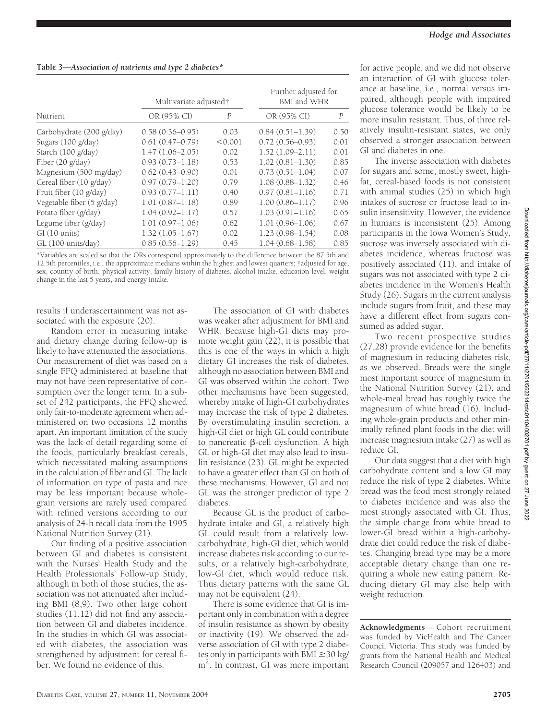|                              | Multivariate adjusted† |                | Further adjusted for<br>BMI and WHR |                |
|------------------------------|------------------------|----------------|-------------------------------------|----------------|
| Nutrient                     | OR (95% CI)            | $\overline{P}$ | OR (95% CI)                         | $\overline{P}$ |
| Carbohydrate (200 g/day)     | $0.58(0.36 - 0.95)$    | 0.03           | $0.84(0.51 - 1.39)$                 | 0.50           |
| Sugars $(100 \text{ g/day})$ | $0.61(0.47-0.79)$      | < 0.001        | $0.72(0.56 - 0.93)$                 | 0.01           |
| Starch (100 g/day)           | $1.47(1.06 - 2.05)$    | 0.02           | $1.52(1.09 - 2.11)$                 | 0.01           |
| Fiber (20 g/day)             | $0.93(0.73 - 1.18)$    | 0.53           | $1.02(0.81 - 1.30)$                 | 0.85           |
| Magnesium (500 mg/day)       | $0.62(0.43 - 0.90)$    | 0.01           | $0.73(0.51 - 1.04)$                 | 0.07           |
| Cereal fiber (10 g/day)      | $0.97(0.79 - 1.20)$    | 0.79           | $1.08(0.88 - 1.32)$                 | 0.46           |
| Fruit fiber (10 g/day)       | $0.93(0.77 - 1.11)$    | 0.40           | $0.97(0.81 - 1.16)$                 | 0.71           |
| Vegetable fiber (5 g/day)    | $1.01(0.87 - 1.18)$    | 0.89           | $1.00(0.86 - 1.17)$                 | 0.96           |
| Potato fiber (g/day)         | $1.04(0.92 - 1.17)$    | 0.57           | $1.03(0.91 - 1.16)$                 | 0.65           |
| Legume fiber $(g/day)$       | $1.01(0.97 - 1.06)$    | 0.62           | $1.01(0.96 - 1.06)$                 | 0.67           |
| GI(10 units)                 | $1.32(1.05 - 1.67)$    | 0.02           | $1.23(0.98 - 1.54)$                 | 0.08           |
| GL (100 units/day)           | $0.85(0.56 - 1.29)$    | 0.45           | $1.04(0.68 - 1.58)$                 | 0.85           |

\*Variables are scaled so that the ORs correspond approximately to the difference between the 87.5th and 12.5th percentiles, i.e., the approximate medians within the highest and lowest quarters; †adjusted for age, sex, country of birth, physical activity, family history of diabetes, alcohol intake, education level, weight change in the last 5 years, and energy intake.

results if underascertainment was not associated with the exposure (20).

Random error in measuring intake and dietary change during follow-up is likely to have attenuated the associations. Our measurement of diet was based on a single FFQ administered at baseline that may not have been representative of consumption over the longer term. In a subset of 242 participants, the FFQ showed only fair-to-moderate agreement when administered on two occasions 12 months apart. An important limitation of the study was the lack of detail regarding some of the foods, particularly breakfast cereals, which necessitated making assumptions in the calculation of fiber and GI. The lack of information on type of pasta and rice may be less important because wholegrain versions are rarely used compared with refined versions according to our analysis of 24-h recall data from the 1995 National Nutrition Survey (21).

Our finding of a positive association between GI and diabetes is consistent with the Nurses' Health Study and the Health Professionals' Follow-up Study, although in both of those studies, the association was not attenuated after including BMI (8,9). Two other large cohort studies (11,12) did not find any association between GI and diabetes incidence. In the studies in which GI was associated with diabetes, the association was strengthened by adjustment for cereal fiber. We found no evidence of this.

The association of GI with diabetes was weaker after adjustment for BMI and WHR. Because high-GI diets may promote weight gain (22), it is possible that this is one of the ways in which a high dietary GI increases the risk of diabetes, although no association between BMI and GI was observed within the cohort. Two other mechanisms have been suggested, whereby intake of high-GI carbohydrates may increase the risk of type 2 diabetes. By overstimulating insulin secretion, a high-GI diet or high GL could contribute to pancreatic  $\beta$ -cell dysfunction. A high GL or high-GI diet may also lead to insulin resistance (23). GL might be expected to have a greater effect than GI on both of these mechanisms. However, GI and not GL was the stronger predictor of type 2 diabetes.

Because GL is the product of carbohydrate intake and GI, a relatively high GL could result from a relatively lowcarbohydrate, high-GI diet, which would increase diabetes risk according to our results, or a relatively high-carbohydrate, low-GI diet, which would reduce risk. Thus dietary patterns with the same GL may not be equivalent (24).

There is some evidence that GI is important only in combination with a degree of insulin resistance as shown by obesity or inactivity (19). We observed the adverse association of GI with type 2 diabetes only in participants with  $\overline{BMI} \geq 30$  kg/ m2 . In contrast, GI was more important

for active people, and we did not observe an interaction of GI with glucose tolerance at baseline, i.e., normal versus impaired, although people with impaired glucose tolerance would be likely to be more insulin resistant. Thus, of three relatively insulin-resistant states, we only observed a stronger association between GI and diabetes in one.

The inverse association with diabetes for sugars and some, mostly sweet, highfat, cereal-based foods is not consistent with animal studies (25) in which high intakes of sucrose or fructose lead to insulin insensitivity. However, the evidence in humans is inconsistent (25). Among participants in the Iowa Women's Study, sucrose was inversely associated with diabetes incidence, whereas fructose was positively associated (11), and intake of sugars was not associated with type 2 diabetes incidence in the Women's Health Study (26). Sugars in the current analysis include sugars from fruit, and these may have a different effect from sugars consumed as added sugar.

Two recent prospective studies (27,28) provide evidence for the benefits of magnesium in reducing diabetes risk, as we observed. Breads were the single most important source of magnesium in the National Nutrition Survey (21), and whole-meal bread has roughly twice the magnesium of white bread (16). Including whole-grain products and other minimally refined plant foods in the diet will increase magnesium intake (27) as well as reduce GI.

Our data suggest that a diet with high carbohydrate content and a low GI may reduce the risk of type 2 diabetes. White bread was the food most strongly related to diabetes incidence and was also the most strongly associated with GI. Thus, the simple change from white bread to lower-GI bread within a high-carbohydrate diet could reduce the risk of diabetes. Changing bread type may be a more acceptable dietary change than one requiring a whole new eating pattern. Reducing dietary GI may also help with weight reduction.

**Acknowledgments**— Cohort recruitment was funded by VicHealth and The Cancer Council Victoria. This study was funded by grants from the National Health and Medical Research Council (209057 and 126403) and